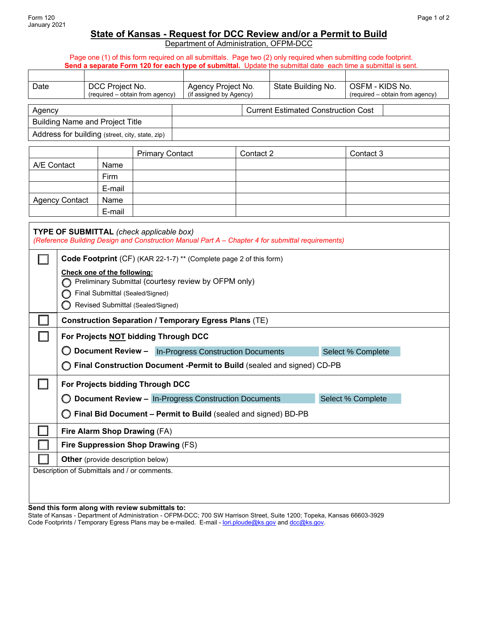## **State of Kansas - Request for DCC Review and/or a Permit to Build**

Department of Administration, OFPM-DCC

Page one (1) of this form required on all submittals. Page two (2) only required when submitting code footprint. **Send a separate Form 120 for each type of submittal.** Update the submittal date each time a submittal is sent.

| DCC Project No.<br>Date                         |                                 |  | Agency Project No.      |                                            | State Building No. | OSFM - KIDS No.                 |  |
|-------------------------------------------------|---------------------------------|--|-------------------------|--------------------------------------------|--------------------|---------------------------------|--|
|                                                 | (required - obtain from agency) |  | (if assigned by Agency) |                                            |                    | (required – obtain from agency) |  |
|                                                 |                                 |  |                         |                                            |                    |                                 |  |
| Agency                                          |                                 |  |                         | <b>Current Estimated Construction Cost</b> |                    |                                 |  |
| <b>Building Name and Project Title</b>          |                                 |  |                         |                                            |                    |                                 |  |
| Address for building (street, city, state, zip) |                                 |  |                         |                                            |                    |                                 |  |
|                                                 |                                 |  |                         |                                            |                    |                                 |  |
|                                                 | Primary Contact                 |  |                         | Contact 2                                  |                    | Contact 3                       |  |

|                       |        | <b>Primary Contact</b> | Contact 2 | Contact 3 |
|-----------------------|--------|------------------------|-----------|-----------|
| A/E Contact           | Name   |                        |           |           |
|                       | Firm   |                        |           |           |
|                       | E-mail |                        |           |           |
| <b>Agency Contact</b> | Name   |                        |           |           |
|                       | E-mail |                        |           |           |

| TYPE OF SUBMITTAL (check applicable box)<br>(Reference Building Design and Construction Manual Part A - Chapter 4 for submittal requirements) |                                                                                                                                                             |  |  |  |  |
|-----------------------------------------------------------------------------------------------------------------------------------------------|-------------------------------------------------------------------------------------------------------------------------------------------------------------|--|--|--|--|
|                                                                                                                                               | Code Footprint (CF) (KAR 22-1-7) ** (Complete page 2 of this form)                                                                                          |  |  |  |  |
|                                                                                                                                               | Check one of the following:<br>Preliminary Submittal (courtesy review by OFPM only)<br>Final Submittal (Sealed/Signed)<br>Revised Submittal (Sealed/Signed) |  |  |  |  |
|                                                                                                                                               | <b>Construction Separation / Temporary Egress Plans (TE)</b>                                                                                                |  |  |  |  |
|                                                                                                                                               | For Projects NOT bidding Through DCC                                                                                                                        |  |  |  |  |
|                                                                                                                                               | <b>Document Review -</b><br><b>In-Progress Construction Documents</b><br>Select % Complete                                                                  |  |  |  |  |
|                                                                                                                                               | Final Construction Document -Permit to Build (sealed and signed) CD-PB                                                                                      |  |  |  |  |
|                                                                                                                                               | For Projects bidding Through DCC                                                                                                                            |  |  |  |  |
|                                                                                                                                               | <b>Document Review - In-Progress Construction Documents</b><br>Select % Complete                                                                            |  |  |  |  |
|                                                                                                                                               | Final Bid Document - Permit to Build (sealed and signed) BD-PB<br>( )                                                                                       |  |  |  |  |
|                                                                                                                                               | Fire Alarm Shop Drawing (FA)                                                                                                                                |  |  |  |  |
|                                                                                                                                               | Fire Suppression Shop Drawing (FS)                                                                                                                          |  |  |  |  |
|                                                                                                                                               | <b>Other</b> (provide description below)                                                                                                                    |  |  |  |  |
|                                                                                                                                               | Description of Submittals and / or comments.                                                                                                                |  |  |  |  |
|                                                                                                                                               |                                                                                                                                                             |  |  |  |  |

## **Send this form along with review submittals to:**

State of Kansas - Department of Administration - OFPM-DCC; 700 SW Harrison Street, Suite 1200; Topeka, Kansas 66603-3929 Code Footprints / Temporary Egress Plans may be e-mailed. E-mail - <u>lori.ploude@ks.gov</u> and <u>dcc@ks.gov</u>.